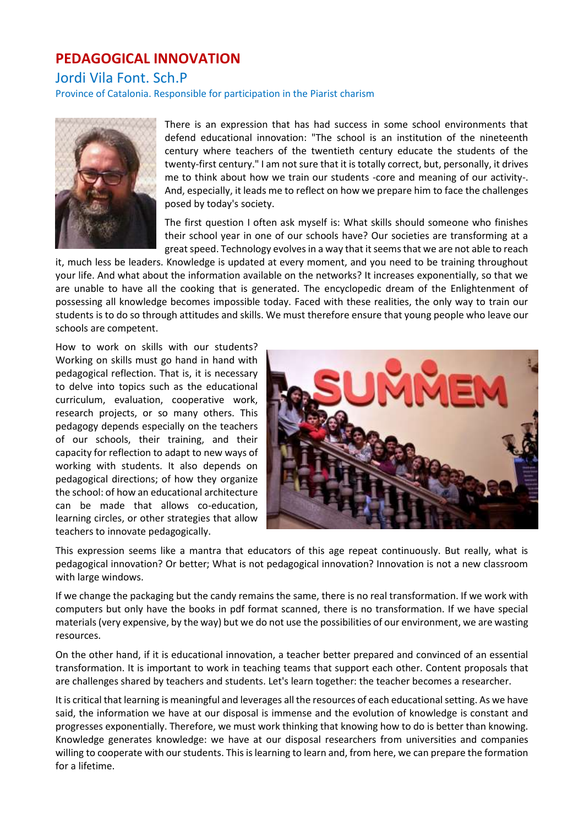## **PEDAGOGICAL INNOVATION**

Jordi Vila Font. Sch.P

Province of Catalonia. Responsible for participation in the Piarist charism



There is an expression that has had success in some school environments that defend educational innovation: "The school is an institution of the nineteenth century where teachers of the twentieth century educate the students of the twenty-first century." I am not sure that it is totally correct, but, personally, it drives me to think about how we train our students -core and meaning of our activity-. And, especially, it leads me to reflect on how we prepare him to face the challenges posed by today's society.

The first question I often ask myself is: What skills should someone who finishes their school year in one of our schools have? Our societies are transforming at a great speed. Technology evolves in a way that it seems that we are not able to reach

it, much less be leaders. Knowledge is updated at every moment, and you need to be training throughout your life. And what about the information available on the networks? It increases exponentially, so that we are unable to have all the cooking that is generated. The encyclopedic dream of the Enlightenment of possessing all knowledge becomes impossible today. Faced with these realities, the only way to train our students is to do so through attitudes and skills. We must therefore ensure that young people who leave our schools are competent.

How to work on skills with our students? Working on skills must go hand in hand with pedagogical reflection. That is, it is necessary to delve into topics such as the educational curriculum, evaluation, cooperative work, research projects, or so many others. This pedagogy depends especially on the teachers of our schools, their training, and their capacity for reflection to adapt to new ways of working with students. It also depends on pedagogical directions; of how they organize the school: of how an educational architecture can be made that allows co-education, learning circles, or other strategies that allow teachers to innovate pedagogically.



This expression seems like a mantra that educators of this age repeat continuously. But really, what is pedagogical innovation? Or better; What is not pedagogical innovation? Innovation is not a new classroom with large windows.

If we change the packaging but the candy remains the same, there is no real transformation. If we work with computers but only have the books in pdf format scanned, there is no transformation. If we have special materials (very expensive, by the way) but we do not use the possibilities of our environment, we are wasting resources.

On the other hand, if it is educational innovation, a teacher better prepared and convinced of an essential transformation. It is important to work in teaching teams that support each other. Content proposals that are challenges shared by teachers and students. Let's learn together: the teacher becomes a researcher.

It is critical that learning is meaningful and leverages all the resources of each educational setting. As we have said, the information we have at our disposal is immense and the evolution of knowledge is constant and progresses exponentially. Therefore, we must work thinking that knowing how to do is better than knowing. Knowledge generates knowledge: we have at our disposal researchers from universities and companies willing to cooperate with our students. This is learning to learn and, from here, we can prepare the formation for a lifetime.